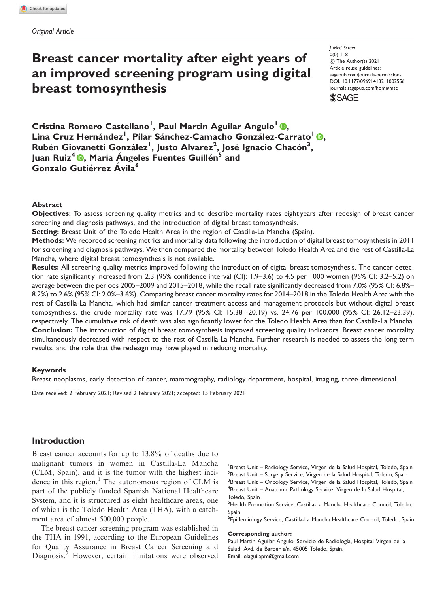# Breast cancer mortality after eight years of an improved screening program using digital breast tomosynthesis

J Med Screen  $0(0)$  1–8 ! The Author(s) 2021 Article reuse guidelines: [sagepub.com/journals-permissions](http://uk.sagepub.com/en-gb/journals-permissions) [DOI: 10.1177/09691413211002556](http://dx.doi.org/10.1177/09691413211002556) <journals.sagepub.com/home/msc>**SSAGE** 

Cristina Romero Castellano<sup>l</sup>[,](https://orcid.org/0000-0001-9795-3227) Paul Martin Aguilar Angulo<sup>l</sup> ®, Lina Cruz Hernández<sup>1</sup>, Pilar Sánchez-Camacho González-Carrato<sup>l</sup> ®, Rubén Giovanetti González<sup>i</sup>, Justo Alvarez<sup>2</sup>, José Ignacio Chacón<sup>3</sup>, Juan Ruiz<sup>4</sup> **D**, Maria Angeles Fuentes Guillen<sup>5</sup> and Gonzalo Gutiérrez Ávila<sup>6</sup>

#### Abstract

Objectives: To assess screening quality metrics and to describe mortality rates eight years after redesign of breast cancer screening and diagnosis pathways, and the introduction of digital breast tomosynthesis.

Setting: Breast Unit of the Toledo Health Area in the region of Castilla-La Mancha (Spain).

Methods: We recorded screening metrics and mortality data following the introduction of digital breast tomosynthesis in 2011 for screening and diagnosis pathways. We then compared the mortality between Toledo Health Area and the rest of Castilla-La Mancha, where digital breast tomosynthesis is not available.

Results: All screening quality metrics improved following the introduction of digital breast tomosynthesis. The cancer detection rate significantly increased from 2.3 (95% confidence interval (CI): 1.9–3.6) to 4.5 per 1000 women (95% CI: 3.2–5.2) on average between the periods 2005–2009 and 2015–2018, while the recall rate significantly decreased from 7.0% (95% CI: 6.8%– 8.2%) to 2.6% (95% CI: 2.0%–3.6%). Comparing breast cancer mortality rates for 2014–2018 in the Toledo Health Area with the rest of Castilla-La Mancha, which had similar cancer treatment access and management protocols but without digital breast tomosynthesis, the crude mortality rate was 17.79 (95% CI: 15.38 -20.19) vs. 24.76 per 100,000 (95% CI: 26.12–23.39), respectively. The cumulative risk of death was also significantly lower for the Toledo Health Area than for Castilla-La Mancha. Conclusion: The introduction of digital breast tomosynthesis improved screening quality indicators. Breast cancer mortality simultaneously decreased with respect to the rest of Castilla-La Mancha. Further research is needed to assess the long-term results, and the role that the redesign may have played in reducing mortality.

#### Keywords

Breast neoplasms, early detection of cancer, mammography, radiology department, hospital, imaging, three-dimensional

Date received: 2 February 2021; Revised 2 February 2021; accepted: 15 February 2021

# Introduction

Breast cancer accounts for up to 13.8% of deaths due to malignant tumors in women in Castilla-La Mancha (CLM, Spain), and it is the tumor with the highest incidence in this region. $<sup>1</sup>$  The autonomous region of CLM is</sup> part of the publicly funded Spanish National Healthcare System, and it is structured as eight healthcare areas, one of which is the Toledo Health Area (THA), with a catchment area of almost 500,000 people.

The breast cancer screening program was established in the THA in 1991, according to the European Guidelines for Quality Assurance in Breast Cancer Screening and Diagnosis.<sup>2</sup> However, certain limitations were observed 6 Epidemiology Service, Castilla-La Mancha Healthcare Council, Toledo, Spain

#### Corresponding author:

Paul Martin Aguilar Angulo, Servicio de Radiología, Hospital Virgen de la Salud, Avd. de Barber s/n, 45005 Toledo, Spain. Email: [elaguilapm@gmail.com](mailto:elaguilapm@gmail.com)

<sup>&</sup>lt;sup>1</sup> Breast Unit - Radiology Service, Virgen de la Salud Hospital, Toledo, Spain <sup>2</sup>Breast Unit – Surgery Service, Virgen de la Salud Hospital, Toledo, Spain <sup>3</sup>Breast Unit – Oncology Service, Virgen de la Salud Hospital, Toledo, Spain <sup>4</sup>Breast Unit – Anatomic Pathology Service, Virgen de la Salud Hospital, Toledo, Spain

<sup>5</sup> Health Promotion Service, Castilla-La Mancha Healthcare Council, Toledo, Spain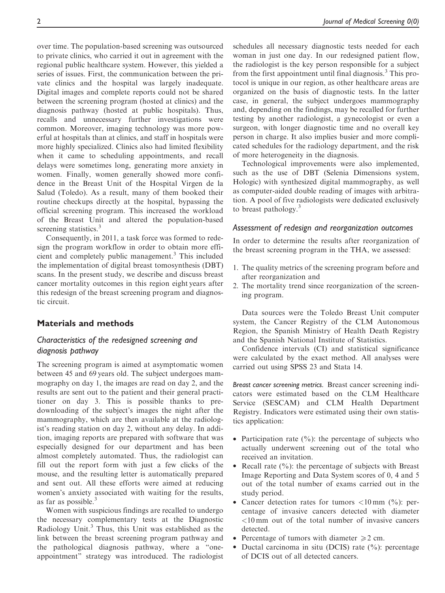over time. The population-based screening was outsourced to private clinics, who carried it out in agreement with the regional public healthcare system. However, this yielded a series of issues. First, the communication between the private clinics and the hospital was largely inadequate. Digital images and complete reports could not be shared between the screening program (hosted at clinics) and the diagnosis pathway (hosted at public hospitals). Thus, recalls and unnecessary further investigations were common. Moreover, imaging technology was more powerful at hospitals than at clinics, and staff in hospitals were more highly specialized. Clinics also had limited flexibility when it came to scheduling appointments, and recall delays were sometimes long, generating more anxiety in women. Finally, women generally showed more confidence in the Breast Unit of the Hospital Virgen de la Salud (Toledo). As a result, many of them booked their routine checkups directly at the hospital, bypassing the official screening program. This increased the workload of the Breast Unit and altered the population-based screening statistics.<sup>3</sup>

Consequently, in 2011, a task force was formed to redesign the program workflow in order to obtain more efficient and completely public management.<sup>3</sup> This included the implementation of digital breast tomosynthesis (DBT) scans. In the present study, we describe and discuss breast cancer mortality outcomes in this region eight years after this redesign of the breast screening program and diagnostic circuit.

# Materials and methods

# Characteristics of the redesigned screening and diagnosis pathway

The screening program is aimed at asymptomatic women between 45 and 69 years old. The subject undergoes mammography on day 1, the images are read on day 2, and the results are sent out to the patient and their general practitioner on day 3. This is possible thanks to predownloading of the subject's images the night after the mammography, which are then available at the radiologist's reading station on day 2, without any delay. In addition, imaging reports are prepared with software that was especially designed for our department and has been almost completely automated. Thus, the radiologist can fill out the report form with just a few clicks of the mouse, and the resulting letter is automatically prepared and sent out. All these efforts were aimed at reducing women's anxiety associated with waiting for the results, as far as possible.<sup>3</sup>

Women with suspicious findings are recalled to undergo the necessary complementary tests at the Diagnostic Radiology Unit.<sup>3</sup> Thus, this Unit was established as the link between the breast screening program pathway and the pathological diagnosis pathway, where a "oneappointment" strategy was introduced. The radiologist schedules all necessary diagnostic tests needed for each woman in just one day. In our redesigned patient flow, the radiologist is the key person responsible for a subject from the first appointment until final diagnosis.<sup>3</sup> This protocol is unique in our region, as other healthcare areas are organized on the basis of diagnostic tests. In the latter case, in general, the subject undergoes mammography and, depending on the findings, may be recalled for further testing by another radiologist, a gynecologist or even a surgeon, with longer diagnostic time and no overall key person in charge. It also implies busier and more complicated schedules for the radiology department, and the risk of more heterogeneity in the diagnosis.

Technological improvements were also implemented, such as the use of DBT (Selenia Dimensions system, Hologic) with synthesized digital mammography, as well as computer-aided double reading of images with arbitration. A pool of five radiologists were dedicated exclusively to breast pathology. $3$ 

# Assessment of redesign and reorganization outcomes

In order to determine the results after reorganization of the breast screening program in the THA, we assessed:

- 1. The quality metrics of the screening program before and after reorganization and
- 2. The mortality trend since reorganization of the screening program.

Data sources were the Toledo Breast Unit computer system, the Cancer Registry of the CLM Autonomous Region, the Spanish Ministry of Health Death Registry and the Spanish National Institute of Statistics.

Confidence intervals (CI) and statistical significance were calculated by the exact method. All analyses were carried out using SPSS 23 and Stata 14.

Breast cancer screening metrics. Breast cancer screening indicators were estimated based on the CLM Healthcare Service (SESCAM) and CLM Health Department Registry. Indicators were estimated using their own statistics application:

- Participation rate  $(\frac{6}{6})$ : the percentage of subjects who actually underwent screening out of the total who received an invitation.
- Recall rate  $(\%)$ : the percentage of subjects with Breast Image Reporting and Data System scores of 0, 4 and 5 out of the total number of exams carried out in the study period.
- Cancer detection rates for tumors  $\langle 10 \text{ mm } (%)$ : percentage of invasive cancers detected with diameter <10 mm out of the total number of invasive cancers detected.
- Percentage of tumors with diameter  $\geq 2$  cm.
- Ductal carcinoma in situ (DCIS) rate  $(\% )$ : percentage of DCIS out of all detected cancers.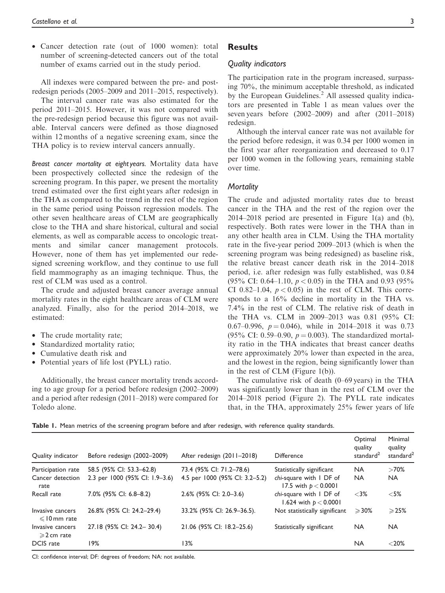• Cancer detection rate (out of 1000 women): total number of screening-detected cancers out of the total number of exams carried out in the study period.

All indexes were compared between the pre- and postredesign periods (2005–2009 and 2011–2015, respectively).

The interval cancer rate was also estimated for the period 2011–2015. However, it was not compared with the pre-redesign period because this figure was not available. Interval cancers were defined as those diagnosed within 12 months of a negative screening exam, since the THA policy is to review interval cancers annually.

Breast cancer mortality at eight years. Mortality data have been prospectively collected since the redesign of the screening program. In this paper, we present the mortality trend estimated over the first eight years after redesign in the THA as compared to the trend in the rest of the region in the same period using Poisson regression models. The other seven healthcare areas of CLM are geographically close to the THA and share historical, cultural and social elements, as well as comparable access to oncologic treatments and similar cancer management protocols. However, none of them has yet implemented our redesigned screening workflow, and they continue to use full field mammography as an imaging technique. Thus, the rest of CLM was used as a control.

The crude and adjusted breast cancer average annual mortality rates in the eight healthcare areas of CLM were analyzed. Finally, also for the period 2014–2018, we estimated:

- The crude mortality rate;
- Standardized mortality ratio;
- Cumulative death risk and
- Potential years of life lost (PYLL) ratio.

Additionally, the breast cancer mortality trends according to age group for a period before redesign (2002–2009) and a period after redesign (2011–2018) were compared for Toledo alone.

# **Results**

## Quality indicators

The participation rate in the program increased, surpassing 70%, the minimum acceptable threshold, as indicated by the European Guidelines.<sup>2</sup> All assessed quality indicators are presented in Table 1 as mean values over the seven years before (2002–2009) and after (2011–2018) redesign.

Although the interval cancer rate was not available for the period before redesign, it was 0.34 per 1000 women in the first year after reorganization and decreased to 0.17 per 1000 women in the following years, remaining stable over time.

### **Mortality**

The crude and adjusted mortality rates due to breast cancer in the THA and the rest of the region over the 2014–2018 period are presented in Figure 1(a) and (b), respectively. Both rates were lower in the THA than in any other health area in CLM. Using the THA mortality rate in the five-year period 2009–2013 (which is when the screening program was being redesigned) as baseline risk, the relative breast cancer death risk in the 2014–2018 period, i.e. after redesign was fully established, was 0.84 (95% CI: 0.64–1.10,  $p < 0.05$ ) in the THA and 0.93 (95%) CI 0.82–1.04,  $p < 0.05$ ) in the rest of CLM. This corresponds to a 16% decline in mortality in the THA vs. 7.4% in the rest of CLM. The relative risk of death in the THA vs. CLM in 2009–2013 was 0.81 (95% CI: 0.67–0.996,  $p = 0.046$ ), while in 2014–2018 it was 0.73 (95% CI: 0.59–0.90,  $p = 0.003$ ). The standardized mortality ratio in the THA indicates that breast cancer deaths were approximately 20% lower than expected in the area, and the lowest in the region, being significantly lower than in the rest of CLM (Figure 1(b)).

The cumulative risk of death (0–69 years) in the THA was significantly lower than in the rest of CLM over the 2014–2018 period (Figure 2). The PYLL rate indicates that, in the THA, approximately 25% fewer years of life

|  |  |  |  |  |  |  |  |  |  |  |  |  | Table 1. Mean metrics of the screening program before and after redesign, with reference quality standards. |
|--|--|--|--|--|--|--|--|--|--|--|--|--|-------------------------------------------------------------------------------------------------------------|
|--|--|--|--|--|--|--|--|--|--|--|--|--|-------------------------------------------------------------------------------------------------------------|

| Quality indicator                         | Before redesign (2002-2009)    | After redesign (2011-2018)     | <b>Difference</b>                                  | Optimal<br>quality<br>standard <sup>2</sup> | Minimal<br>quality<br>standard <sup>2</sup> |
|-------------------------------------------|--------------------------------|--------------------------------|----------------------------------------------------|---------------------------------------------|---------------------------------------------|
| Participation rate                        | 58.5 (95% CI: 53.3-62.8)       | 73.4 (95% CI: 71.2-78.6)       | Statistically significant                          | <b>NA</b>                                   | >70%                                        |
| Cancer detection<br>rate                  | 2.3 per 1000 (95% CI: 1.9-3.6) | 4.5 per 1000 (95% CI: 3.2-5.2) | chi-square with I DF of<br>17.5 with $p < 0.0001$  | <b>NA</b>                                   | NA.                                         |
| Recall rate                               | 7.0% (95% CI: 6.8-8.2)         | 2.6% (95% CI: 2.0-3.6)         | chi-square with I DF of<br>1.624 with $p < 0.0001$ | $<3\%$                                      | $<$ 5%                                      |
| Invasive cancers<br>$\leq$ 10 mm rate     | 26.8% (95% CI: 24.2-29.4)      | 33.2% (95% CI: 26.9-36.5).     | Not statistically significant                      | $\geqslant$ 30%                             | $\geqslant$ 25%                             |
| Invasive cancers<br>$\geqslant$ 2 cm rate | 27.18 (95% CI: 24.2-30.4)      | 21.06 (95% CI: 18.2-25.6)      | Statistically significant                          | <b>NA</b>                                   | <b>NA</b>                                   |
| DCIS rate                                 | 19%                            | 13%                            |                                                    | <b>NA</b>                                   | $< 20\%$                                    |

CI: confidence interval; DF: degrees of freedom; NA: not available.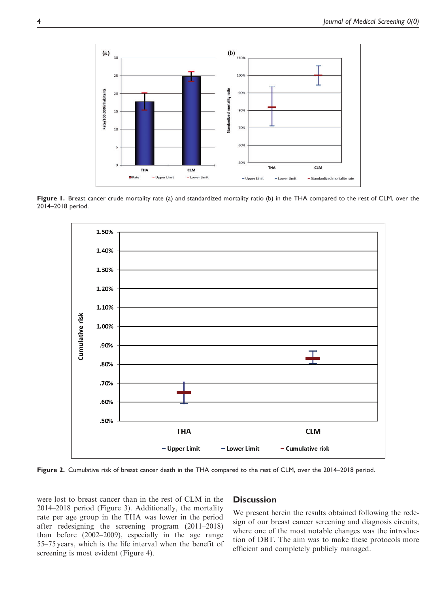

Figure 1. Breast cancer crude mortality rate (a) and standardized mortality ratio (b) in the THA compared to the rest of CLM, over the 2014–2018 period.



Figure 2. Cumulative risk of breast cancer death in the THA compared to the rest of CLM, over the 2014–2018 period.

were lost to breast cancer than in the rest of CLM in the 2014–2018 period (Figure 3). Additionally, the mortality rate per age group in the THA was lower in the period after redesigning the screening program (2011–2018) than before (2002–2009), especially in the age range 55–75 years, which is the life interval when the benefit of screening is most evident (Figure 4).

## **Discussion**

We present herein the results obtained following the redesign of our breast cancer screening and diagnosis circuits, where one of the most notable changes was the introduction of DBT. The aim was to make these protocols more efficient and completely publicly managed.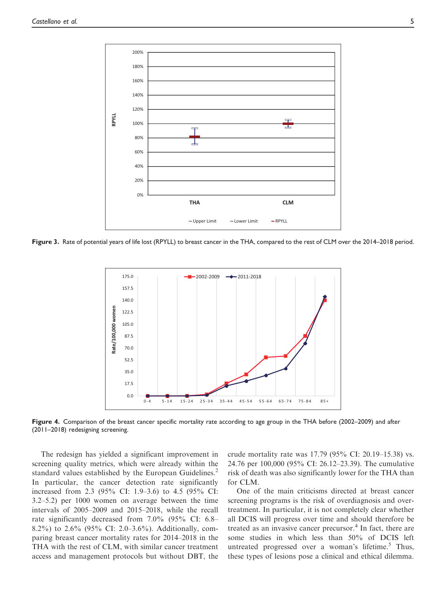

Figure 3. Rate of potential years of life lost (RPYLL) to breast cancer in the THA, compared to the rest of CLM over the 2014–2018 period.



Figure 4. Comparison of the breast cancer specific mortality rate according to age group in the THA before (2002–2009) and after (2011–2018) redesigning screening.

The redesign has yielded a significant improvement in screening quality metrics, which were already within the standard values established by the European Guidelines.<sup>2</sup> In particular, the cancer detection rate significantly increased from 2.3 (95% CI: 1.9–3.6) to 4.5 (95% CI: 3.2–5.2) per 1000 women on average between the time intervals of 2005–2009 and 2015–2018, while the recall rate significantly decreased from 7.0% (95% CI: 6.8– 8.2%) to 2.6% (95% CI: 2.0–3.6%). Additionally, comparing breast cancer mortality rates for 2014–2018 in the THA with the rest of CLM, with similar cancer treatment access and management protocols but without DBT, the crude mortality rate was 17.79 (95% CI: 20.19–15.38) vs. 24.76 per 100,000 (95% CI: 26.12–23.39). The cumulative risk of death was also significantly lower for the THA than for CLM.

One of the main criticisms directed at breast cancer screening programs is the risk of overdiagnosis and overtreatment. In particular, it is not completely clear whether all DCIS will progress over time and should therefore be treated as an invasive cancer precursor.<sup>4</sup> In fact, there are some studies in which less than 50% of DCIS left untreated progressed over a woman's lifetime.<sup>5</sup> Thus, these types of lesions pose a clinical and ethical dilemma.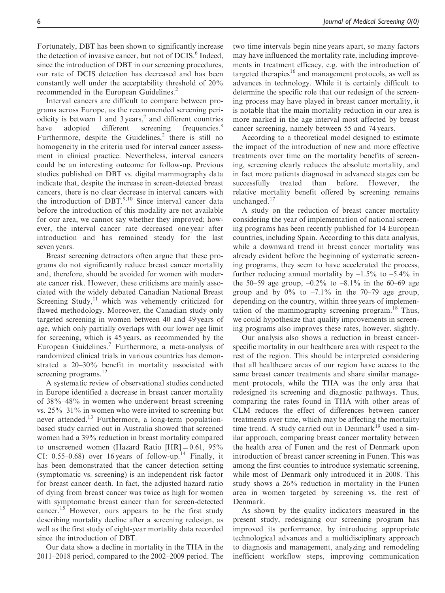Fortunately, DBT has been shown to significantly increase the detection of invasive cancer, but not of DCIS.<sup>6</sup> Indeed, since the introduction of DBT in our screening procedures, our rate of DCIS detection has decreased and has been constantly well under the acceptability threshold of 20% recommended in the European Guidelines.<sup>2</sup>

Interval cancers are difficult to compare between programs across Europe, as the recommended screening periodicity is between 1 and 3 years,<sup>7</sup> and different countries have adopted different screening frequencies.<sup>8</sup> Furthermore, despite the Guidelines, $<sup>2</sup>$  there is still no</sup> homogeneity in the criteria used for interval cancer assessment in clinical practice. Nevertheless, interval cancers could be an interesting outcome for follow-up. Previous studies published on DBT vs. digital mammography data indicate that, despite the increase in screen-detected breast cancers, there is no clear decrease in interval cancers with the introduction of  $DBT$ .<sup>9,10</sup> Since interval cancer data before the introduction of this modality are not available for our area, we cannot say whether they improved; however, the interval cancer rate decreased one year after introduction and has remained steady for the last seven years.

Breast screening detractors often argue that these programs do not significantly reduce breast cancer mortality and, therefore, should be avoided for women with moderate cancer risk. However, these criticisms are mainly associated with the widely debated Canadian National Breast Screening Study, $^{11}$  which was vehemently criticized for flawed methodology. Moreover, the Canadian study only targeted screening in women between 40 and 49 years of age, which only partially overlaps with our lower age limit for screening, which is 45 years, as recommended by the European Guidelines.<sup>7</sup> Furthermore, a meta-analysis of randomized clinical trials in various countries has demonstrated a 20–30% benefit in mortality associated with screening programs.<sup>12</sup>

A systematic review of observational studies conducted in Europe identified a decrease in breast cancer mortality of 38%–48% in women who underwent breast screening vs. 25%–31% in women who were invited to screening but never attended.<sup>13</sup> Furthermore, a long-term populationbased study carried out in Australia showed that screened women had a 39% reduction in breast mortality compared to unscreened women (Hazard Ratio  $|HR| = 0.61$ , 95% CI: 0.55–0.68) over 16 years of follow-up.<sup>14</sup> Finally, it has been demonstrated that the cancer detection setting (symptomatic vs. screening) is an independent risk factor for breast cancer death. In fact, the adjusted hazard ratio of dying from breast cancer was twice as high for women with symptomatic breast cancer than for screen-detected cancer.<sup>15</sup> However, ours appears to be the first study describing mortality decline after a screening redesign, as well as the first study of eight-year mortality data recorded since the introduction of DBT.

Our data show a decline in mortality in the THA in the 2011–2018 period, compared to the 2002–2009 period. The two time intervals begin nine years apart, so many factors may have influenced the mortality rate, including improvements in treatment efficacy, e.g. with the introduction of targeted therapies<sup>16</sup> and management protocols, as well as advances in technology. While it is certainly difficult to determine the specific role that our redesign of the screening process may have played in breast cancer mortality, it is notable that the main mortality reduction in our area is more marked in the age interval most affected by breast cancer screening, namely between 55 and 74 years.

According to a theoretical model designed to estimate the impact of the introduction of new and more effective treatments over time on the mortality benefits of screening, screening clearly reduces the absolute mortality, and in fact more patients diagnosed in advanced stages can be successfully treated than before. However, the relative mortality benefit offered by screening remains unchanged.<sup>17</sup>

A study on the reduction of breast cancer mortality considering the year of implementation of national screening programs has been recently published for 14 European countries, including Spain. According to this data analysis, while a downward trend in breast cancer mortality was already evident before the beginning of systematic screening programs, they seem to have accelerated the process, further reducing annual mortality by  $-1.5\%$  to  $-5.4\%$  in the 50–59 age group,  $-0.2\%$  to  $-8.1\%$  in the 60–69 age group and by  $0\%$  to  $-7.1\%$  in the 70–79 age group, depending on the country, within three years of implementation of the mammography screening program.<sup>18</sup> Thus, we could hypothesize that quality improvements in screening programs also improves these rates, however, slightly.

Our analysis also shows a reduction in breast cancerspecific mortality in our healthcare area with respect to the rest of the region. This should be interpreted considering that all healthcare areas of our region have access to the same breast cancer treatments and share similar management protocols, while the THA was the only area that redesigned its screening and diagnostic pathways. Thus, comparing the rates found in THA with other areas of CLM reduces the effect of differences between cancer treatments over time, which may be affecting the mortality time trend. A study carried out in Denmark $19$  used a similar approach, comparing breast cancer mortality between the health area of Funen and the rest of Denmark upon introduction of breast cancer screening in Funen. This was among the first counties to introduce systematic screening, while most of Denmark only introduced it in 2008. This study shows a 26% reduction in mortality in the Funen area in women targeted by screening vs. the rest of Denmark.

As shown by the quality indicators measured in the present study, redesigning our screening program has improved its performance, by introducing appropriate technological advances and a multidisciplinary approach to diagnosis and management, analyzing and remodeling inefficient workflow steps, improving communication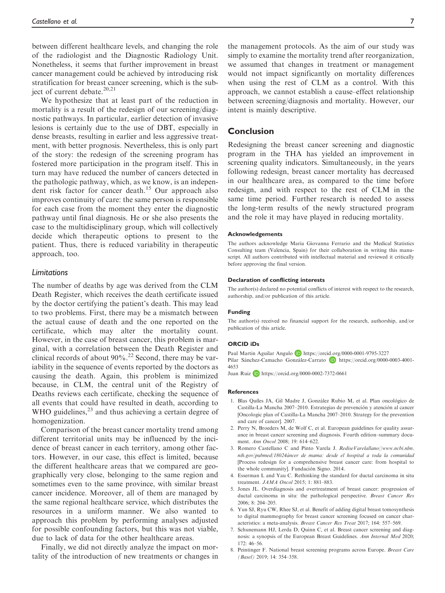between different healthcare levels, and changing the role of the radiologist and the Diagnostic Radiology Unit. Nonetheless, it seems that further improvement in breast cancer management could be achieved by introducing risk stratification for breast cancer screening, which is the subject of current debate.<sup>20,21</sup>

We hypothesize that at least part of the reduction in mortality is a result of the redesign of our screening/diagnostic pathways. In particular, earlier detection of invasive lesions is certainly due to the use of DBT, especially in dense breasts, resulting in earlier and less aggressive treatment, with better prognosis. Nevertheless, this is only part of the story: the redesign of the screening program has fostered more participation in the program itself. This in turn may have reduced the number of cancers detected in the pathologic pathway, which, as we know, is an independent risk factor for cancer death.<sup>15</sup> Our approach also improves continuity of care: the same person is responsible for each case from the moment they enter the diagnostic pathway until final diagnosis. He or she also presents the case to the multidisciplinary group, which will collectively decide which therapeutic options to present to the patient. Thus, there is reduced variability in therapeutic approach, too.

## Limitations

The number of deaths by age was derived from the CLM Death Register, which receives the death certificate issued by the doctor certifying the patient's death. This may lead to two problems. First, there may be a mismatch between the actual cause of death and the one reported on the certificate, which may alter the mortality count. However, in the case of breast cancer, this problem is marginal, with a correlation between the Death Register and clinical records of about  $90\%$ .<sup>22</sup> Second, there may be variability in the sequence of events reported by the doctors as causing the death. Again, this problem is minimized because, in CLM, the central unit of the Registry of Deaths reviews each certificate, checking the sequence of all events that could have resulted in death, according to WHO guidelines, $^{23}$  and thus achieving a certain degree of homogenization.

Comparison of the breast cancer mortality trend among different territorial units may be influenced by the incidence of breast cancer in each territory, among other factors. However, in our case, this effect is limited, because the different healthcare areas that we compared are geographically very close, belonging to the same region and sometimes even to the same province, with similar breast cancer incidence. Moreover, all of them are managed by the same regional healthcare service, which distributes the resources in a uniform manner. We also wanted to approach this problem by performing analyses adjusted for possible confounding factors, but this was not viable, due to lack of data for the other healthcare areas.

Finally, we did not directly analyze the impact on mortality of the introduction of new treatments or changes in

## Conclusion

Redesigning the breast cancer screening and diagnostic program in the THA has yielded an improvement in screening quality indicators. Simultaneously, in the years following redesign, breast cancer mortality has decreased in our healthcare area, as compared to the time before redesign, and with respect to the rest of CLM in the same time period. Further research is needed to assess the long-term results of the newly structured program and the role it may have played in reducing mortality.

#### Acknowledgements

The authors acknowledge Maria Giovanna Ferrario and the Medical Statistics Consulting team (Valencia, Spain) for their collaboration in writing this manuscript. All authors contributed with intellectual material and reviewed it critically before approving the final version.

#### Declaration of conflicting interests

The author(s) declared no potential conflicts of interest with respect to the research, authorship, and/or publication of this article.

#### Funding

The author(s) received no financial support for the research, authorship, and/or publication of this article.

#### ORCID iDs

[4653](https://orcid.org/0000-0003-4001-4653)

Paul Martin Aguilar Angulo D <https://orcid.org/0000-0001-9795-3227> Pilar Sánchez-Camacho González-Carrato **b** [https://orcid.org/0000-0003-4001-](https://orcid.org/0000-0003-4001-4653)

Juan Ruiz D <https://orcid.org/0000-0002-7372-0661>

#### References

- 1. Blas Quíles JA, Gil Madre J, González Rubio M, et al. Plan oncológico de Castilla-La Mancha 2007–2010. Estrategias de prevención y atención al cancer [Oncologic plan of Castilla-La Mancha 2007–2010. Strategy for the prevention and care of cancer]. 2007.
- 2. Perry N, Broeders M, de Wolf C, et al. European guidelines for quality assurance in breast cancer screening and diagnosis. Fourth edition–summary document. Ann Oncol 2008; 19: 614–622.
- 3. Romero Castellano C and Pinto Varela J. RediseVarelallano//www.ncbi.nlm. nih.gov/pubmed/18024a´ncer de mama: desde el hospital a toda la comunidad [Process redesign for a comprehensive breast cancer care: from hospital to the whole community]. Fundación Signo. 2014.
- 4. Esserman L and Yau C. Rethinking the standard for ductal carcinoma in situ treatment. JAMA Oncol 2015; 1: 881–883.
- 5. Jones JL. Overdiagnosis and overtreatment of breast cancer: progression of ductal carcinoma in situ: the pathological perspective. Breast Cancer Res 2006; 8: 204–205.
- 6. Yun SJ, Ryu CW, Rhee SJ, et al. Benefit of adding digital breast tomosynthesis to digital mammography for breast cancer screening focused on cancer characteristics: a meta-analysis. Breast Cancer Res Treat 2017; 164: 557–569.
- 7. Schunemann HJ, Lerda D, Quinn C, et al. Breast cancer screening and diagnosis: a synopsis of the European Breast Guidelines. Ann Internal Med 2020; 172: 46–56.
- 8. Peintinger F. National breast screening programs across Europe. Breast Care (Basel) 2019; 14: 354–358.